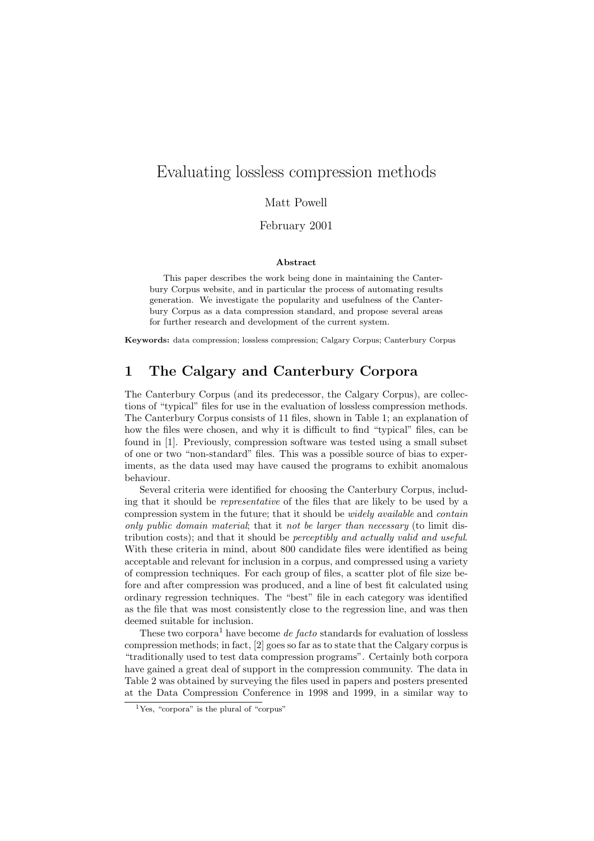# Evaluating lossless compression methods

#### Matt Powell

February 2001

#### **Abstract**

This paper describes the work being done in maintaining the Canterbury Corpus website, and in particular the process of automating results generation. We investigate the popularity and usefulness of the Canterbury Corpus as a data compression standard, and propose several areas for further research and development of the current system.

**Keywords:** data compression; lossless compression; Calgary Corpus; Canterbury Corpus

## **1 The Calgary and Canterbury Corpora**

The Canterbury Corpus (and its predecessor, the Calgary Corpus), are collections of "typical" files for use in the evaluation of lossless compression methods. The Canterbury Corpus consists of 11 files, shown in Table 1; an explanation of how the files were chosen, and why it is difficult to find "typical" files, can be found in [1]. Previously, compression software was tested using a small subset of one or two "non-standard" files. This was a possible source of bias to experiments, as the data used may have caused the programs to exhibit anomalous behaviour.

Several criteria were identified for choosing the Canterbury Corpus, including that it should be *representative* of the files that are likely to be used by a compression system in the future; that it should be *widely available* and *contain only public domain material*; that it *not be larger than necessary* (to limit distribution costs); and that it should be *perceptibly and actually valid and useful*. With these criteria in mind, about 800 candidate files were identified as being acceptable and relevant for inclusion in a corpus, and compressed using a variety of compression techniques. For each group of files, a scatter plot of file size before and after compression was produced, and a line of best fit calculated using ordinary regression techniques. The "best" file in each category was identified as the file that was most consistently close to the regression line, and was then deemed suitable for inclusion.

These two corpora<sup>1</sup> have become *de facto* standards for evaluation of lossless compression methods; in fact, [2] goes so far as to state that the Calgary corpus is "traditionally used to test data compression programs". Certainly both corpora have gained a great deal of support in the compression community. The data in Table 2 was obtained by surveying the files used in papers and posters presented at the Data Compression Conference in 1998 and 1999, in a similar way to

 ${}^{1}$ Yes, "corpora" is the plural of "corpus"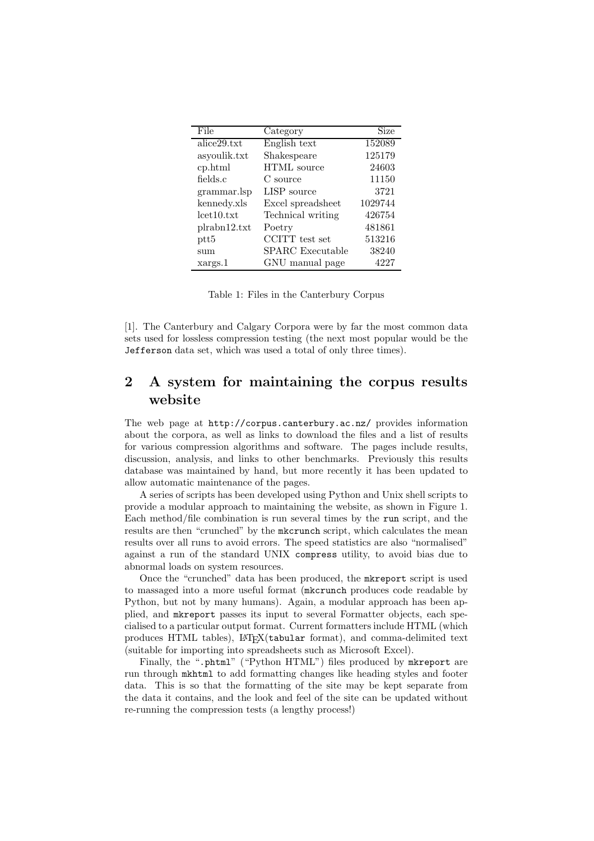| File                                   | Category                        | Size    |
|----------------------------------------|---------------------------------|---------|
| $\overline{\text{alice}}29.\text{txt}$ | English text                    | 152089  |
| asyoulik.txt                           | Shakespeare                     | 125179  |
| cp.html                                | <b>HTML</b> source              | 24603   |
| fields.c                               | C source                        | 11150   |
| grammar.lsp                            | LISP source                     | 3721    |
| kennedy.xls                            | Excel spreadsheet               | 1029744 |
| let10.txt                              | Technical writing               | 426754  |
| plrabh12.txt                           | Poetry                          | 481861  |
| $_{\text{ptt5}}$                       | $\operatorname{CCITT}$ test set | 513216  |
| sum                                    | SPARC Executable                | 38240   |
| xargs.1                                | GNU manual page                 | 4227    |

Table 1: Files in the Canterbury Corpus

[1]. The Canterbury and Calgary Corpora were by far the most common data sets used for lossless compression testing (the next most popular would be the Jefferson data set, which was used a total of only three times).

## **2 A system for maintaining the corpus results website**

The web page at http://corpus.canterbury.ac.nz/ provides information about the corpora, as well as links to download the files and a list of results for various compression algorithms and software. The pages include results, discussion, analysis, and links to other benchmarks. Previously this results database was maintained by hand, but more recently it has been updated to allow automatic maintenance of the pages.

A series of scripts has been developed using Python and Unix shell scripts to provide a modular approach to maintaining the website, as shown in Figure 1. Each method/file combination is run several times by the run script, and the results are then "crunched" by the mkcrunch script, which calculates the mean results over all runs to avoid errors. The speed statistics are also "normalised" against a run of the standard UNIX compress utility, to avoid bias due to abnormal loads on system resources.

Once the "crunched" data has been produced, the mkreport script is used to massaged into a more useful format (mkcrunch produces code readable by Python, but not by many humans). Again, a modular approach has been applied, and mkreport passes its input to several Formatter objects, each specialised to a particular output format. Current formatters include HTML (which produces HTML tables), LATEX(tabular format), and comma-delimited text (suitable for importing into spreadsheets such as Microsoft Excel).

Finally, the ".phtml" ("Python HTML") files produced by mkreport are run through mkhtml to add formatting changes like heading styles and footer data. This is so that the formatting of the site may be kept separate from the data it contains, and the look and feel of the site can be updated without re-running the compression tests (a lengthy process!)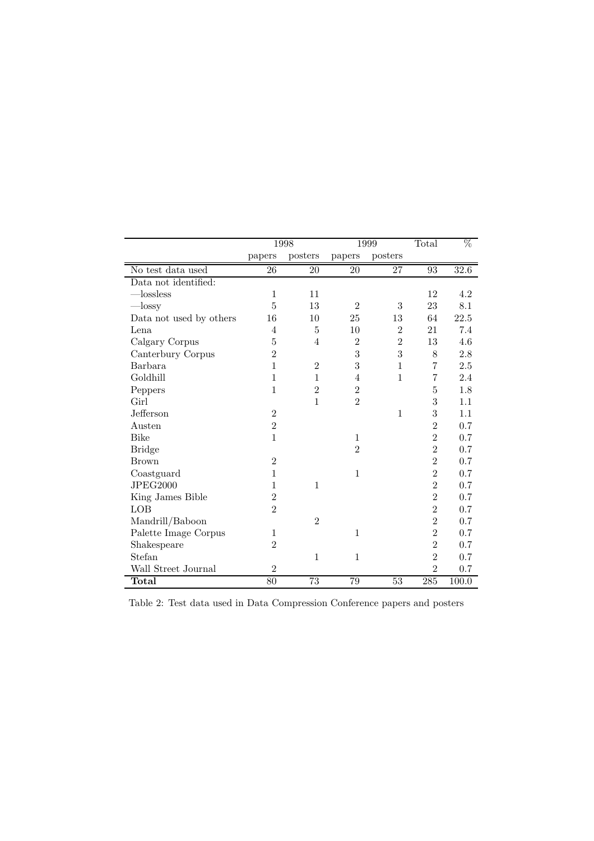|                         | 1998           |                 | 1999           |                | Total           | %     |
|-------------------------|----------------|-----------------|----------------|----------------|-----------------|-------|
|                         | papers         | posters         | papers         | posters        |                 |       |
| No test data used       | 26             | 20              | 20             | 27             | $\overline{93}$ | 32.6  |
| Data not identified:    |                |                 |                |                |                 |       |
| $-$ lossless            | $\mathbf{1}$   | 11              |                |                | 12              | 4.2   |
| $-\text{lossy}$         | $\overline{5}$ | 13              | $\overline{2}$ | 3              | 23              | 8.1   |
| Data not used by others | 16             | 10              | 25             | 13             | 64              | 22.5  |
| Lena                    | 4              | 5               | 10             | $\overline{2}$ | 21              | 7.4   |
| Calgary Corpus          | $\overline{5}$ | $\overline{4}$  | $\overline{2}$ | $\overline{2}$ | 13              | 4.6   |
| Canterbury Corpus       | $\overline{2}$ |                 | 3              | 3              | 8               | 2.8   |
| Barbara                 | 1              | $\overline{2}$  | 3              | $\mathbf{1}$   | 7               | 2.5   |
| Goldhill                | 1              | $\mathbf{1}$    | 4              | $\mathbf{1}$   | 7               | 2.4   |
| Peppers                 | $\mathbf{1}$   | $\overline{2}$  | $\overline{2}$ |                | 5               | 1.8   |
| Girl                    |                | $\mathbf{1}$    | $\overline{2}$ |                | 3               | 1.1   |
| Jefferson               | $\overline{2}$ |                 |                | 1              | 3               | 1.1   |
| Austen                  | $\overline{2}$ |                 |                |                | $\overline{2}$  | 0.7   |
| <b>Bike</b>             | $\mathbf{1}$   |                 | $\mathbf{1}$   |                | $\overline{2}$  | 0.7   |
| <b>Bridge</b>           |                |                 | $\overline{2}$ |                | $\overline{2}$  | 0.7   |
| <b>Brown</b>            | $\overline{2}$ |                 |                |                | $\overline{2}$  | 0.7   |
| Coastguard              | 1              |                 | $\mathbf{1}$   |                | $\overline{2}$  | 0.7   |
| <b>JPEG2000</b>         | 1              | $\mathbf{1}$    |                |                | $\overline{2}$  | 0.7   |
| King James Bible        | $\overline{2}$ |                 |                |                | $\overline{2}$  | 0.7   |
| LOB                     | $\overline{2}$ |                 |                |                | $\overline{2}$  | 0.7   |
| Mandrill/Baboon         |                | $\overline{2}$  |                |                | $\overline{2}$  | 0.7   |
| Palette Image Corpus    | $\mathbf{1}$   |                 | $\mathbf{1}$   |                | $\overline{2}$  | 0.7   |
| Shakespeare             | $\overline{2}$ |                 |                |                | $\overline{2}$  | 0.7   |
| Stefan                  |                | $\mathbf{1}$    | $\mathbf{1}$   |                | $\overline{2}$  | 0.7   |
| Wall Street Journal     | $\overline{2}$ |                 |                |                | $\overline{2}$  | 0.7   |
| Total                   | 80             | $\overline{73}$ | 79             | 53             | 285             | 100.0 |

Table 2: Test data used in Data Compression Conference papers and posters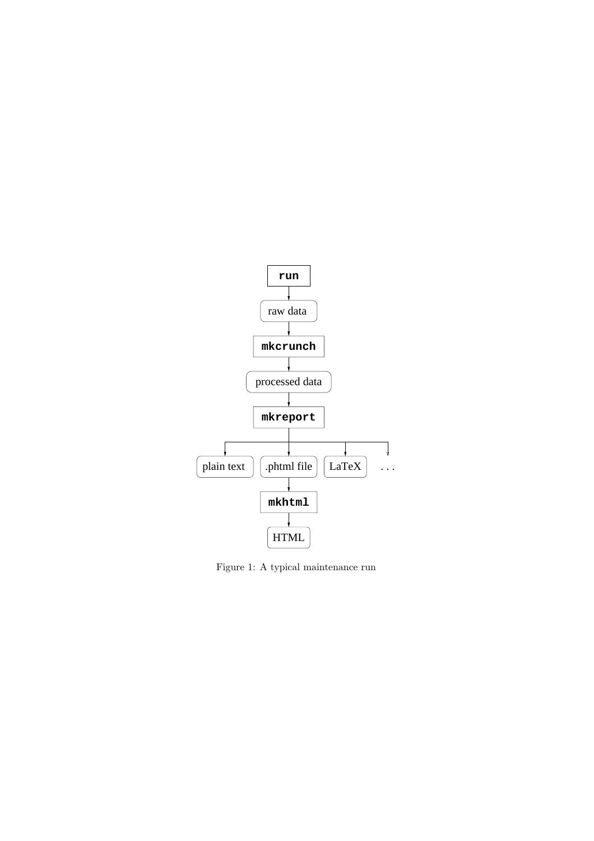

Figure 1: A typical maintenance run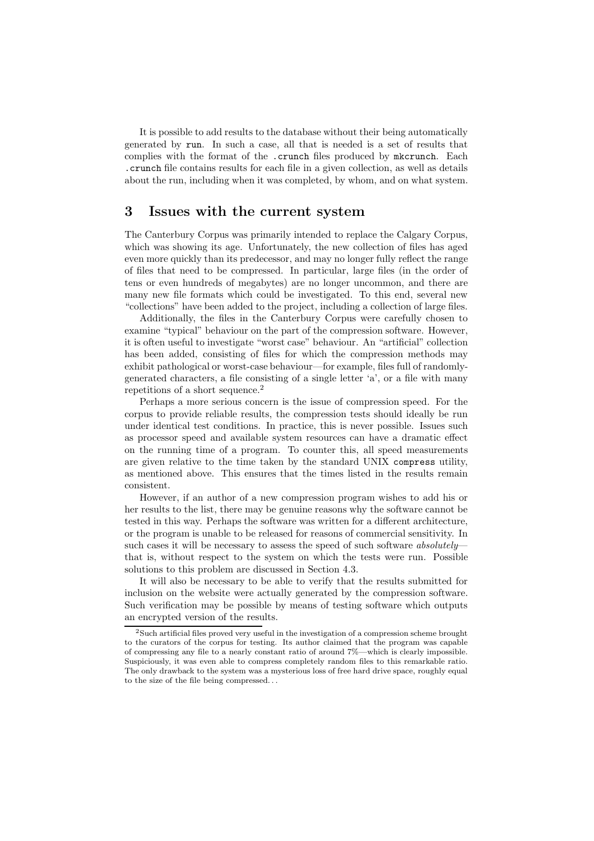It is possible to add results to the database without their being automatically generated by run. In such a case, all that is needed is a set of results that complies with the format of the .crunch files produced by mkcrunch. Each .crunch file contains results for each file in a given collection, as well as details about the run, including when it was completed, by whom, and on what system.

### **3 Issues with the current system**

The Canterbury Corpus was primarily intended to replace the Calgary Corpus, which was showing its age. Unfortunately, the new collection of files has aged even more quickly than its predecessor, and may no longer fully reflect the range of files that need to be compressed. In particular, large files (in the order of tens or even hundreds of megabytes) are no longer uncommon, and there are many new file formats which could be investigated. To this end, several new "collections" have been added to the project, including a collection of large files.

Additionally, the files in the Canterbury Corpus were carefully chosen to examine "typical" behaviour on the part of the compression software. However, it is often useful to investigate "worst case" behaviour. An "artificial" collection has been added, consisting of files for which the compression methods may exhibit pathological or worst-case behaviour—for example, files full of randomlygenerated characters, a file consisting of a single letter 'a', or a file with many repetitions of a short sequence.<sup>2</sup>

Perhaps a more serious concern is the issue of compression speed. For the corpus to provide reliable results, the compression tests should ideally be run under identical test conditions. In practice, this is never possible. Issues such as processor speed and available system resources can have a dramatic effect on the running time of a program. To counter this, all speed measurements are given relative to the time taken by the standard UNIX compress utility, as mentioned above. This ensures that the times listed in the results remain consistent.

However, if an author of a new compression program wishes to add his or her results to the list, there may be genuine reasons why the software cannot be tested in this way. Perhaps the software was written for a different architecture, or the program is unable to be released for reasons of commercial sensitivity. In such cases it will be necessary to assess the speed of such software *absolutely* that is, without respect to the system on which the tests were run. Possible solutions to this problem are discussed in Section 4.3.

It will also be necessary to be able to verify that the results submitted for inclusion on the website were actually generated by the compression software. Such verification may be possible by means of testing software which outputs an encrypted version of the results.

<sup>2</sup>Such artificial files proved very useful in the investigation of a compression scheme brought to the curators of the corpus for testing. Its author claimed that the program was capable of compressing any file to a nearly constant ratio of around 7%—which is clearly impossible. Suspiciously, it was even able to compress completely random files to this remarkable ratio. The only drawback to the system was a mysterious loss of free hard drive space, roughly equal to the size of the file being compressed. . .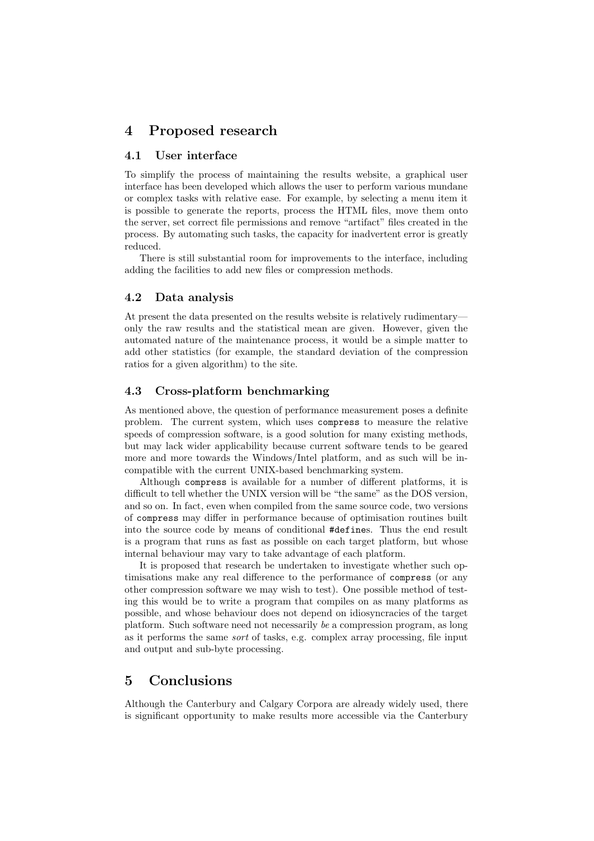### **4 Proposed research**

#### **4.1 User interface**

To simplify the process of maintaining the results website, a graphical user interface has been developed which allows the user to perform various mundane or complex tasks with relative ease. For example, by selecting a menu item it is possible to generate the reports, process the HTML files, move them onto the server, set correct file permissions and remove "artifact" files created in the process. By automating such tasks, the capacity for inadvertent error is greatly reduced.

There is still substantial room for improvements to the interface, including adding the facilities to add new files or compression methods.

#### **4.2 Data analysis**

At present the data presented on the results website is relatively rudimentary only the raw results and the statistical mean are given. However, given the automated nature of the maintenance process, it would be a simple matter to add other statistics (for example, the standard deviation of the compression ratios for a given algorithm) to the site.

#### **4.3 Cross-platform benchmarking**

As mentioned above, the question of performance measurement poses a definite problem. The current system, which uses compress to measure the relative speeds of compression software, is a good solution for many existing methods, but may lack wider applicability because current software tends to be geared more and more towards the Windows/Intel platform, and as such will be incompatible with the current UNIX-based benchmarking system.

Although compress is available for a number of different platforms, it is difficult to tell whether the UNIX version will be "the same" as the DOS version, and so on. In fact, even when compiled from the same source code, two versions of compress may differ in performance because of optimisation routines built into the source code by means of conditional #defines. Thus the end result is a program that runs as fast as possible on each target platform, but whose internal behaviour may vary to take advantage of each platform.

It is proposed that research be undertaken to investigate whether such optimisations make any real difference to the performance of compress (or any other compression software we may wish to test). One possible method of testing this would be to write a program that compiles on as many platforms as possible, and whose behaviour does not depend on idiosyncracies of the target platform. Such software need not necessarily *be* a compression program, as long as it performs the same *sort* of tasks, e.g. complex array processing, file input and output and sub-byte processing.

## **5 Conclusions**

Although the Canterbury and Calgary Corpora are already widely used, there is significant opportunity to make results more accessible via the Canterbury